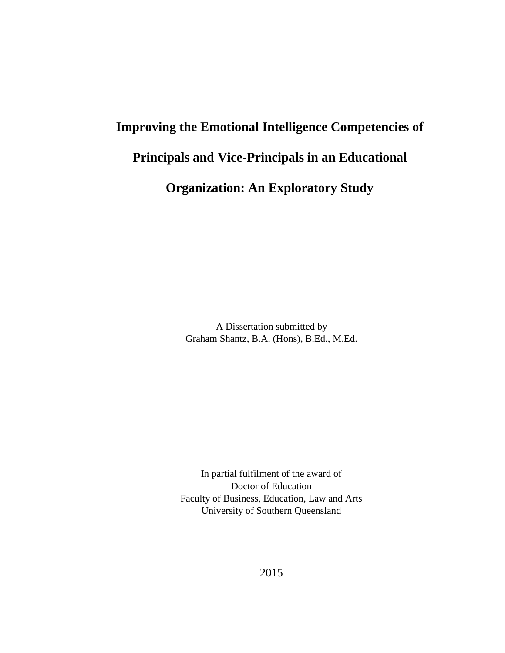# **Improving the Emotional Intelligence Competencies of Principals and Vice-Principals in an Educational**

## **Organization: An Exploratory Study**

A Dissertation submitted by Graham Shantz, B.A. (Hons), B.Ed., M.Ed.

In partial fulfilment of the award of Doctor of Education Faculty of Business, Education, Law and Arts University of Southern Queensland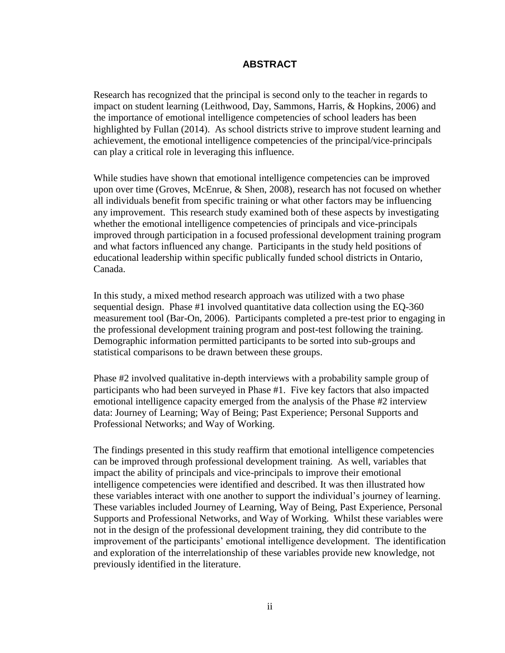#### **ABSTRACT**

<span id="page-1-0"></span>Research has recognized that the principal is second only to the teacher in regards to impact on student learning (Leithwood, Day, Sammons, Harris, & Hopkins, 2006) and the importance of emotional intelligence competencies of school leaders has been highlighted by Fullan (2014). As school districts strive to improve student learning and achievement, the emotional intelligence competencies of the principal/vice-principals can play a critical role in leveraging this influence.

While studies have shown that emotional intelligence competencies can be improved upon over time (Groves, McEnrue, & Shen, 2008), research has not focused on whether all individuals benefit from specific training or what other factors may be influencing any improvement. This research study examined both of these aspects by investigating whether the emotional intelligence competencies of principals and vice-principals improved through participation in a focused professional development training program and what factors influenced any change. Participants in the study held positions of educational leadership within specific publically funded school districts in Ontario, Canada.

In this study, a mixed method research approach was utilized with a two phase sequential design. Phase #1 involved quantitative data collection using the EQ-360 measurement tool (Bar-On, 2006). Participants completed a pre-test prior to engaging in the professional development training program and post-test following the training. Demographic information permitted participants to be sorted into sub-groups and statistical comparisons to be drawn between these groups.

Phase #2 involved qualitative in-depth interviews with a probability sample group of participants who had been surveyed in Phase #1. Five key factors that also impacted emotional intelligence capacity emerged from the analysis of the Phase #2 interview data: Journey of Learning; Way of Being; Past Experience; Personal Supports and Professional Networks; and Way of Working.

The findings presented in this study reaffirm that emotional intelligence competencies can be improved through professional development training. As well, variables that impact the ability of principals and vice-principals to improve their emotional intelligence competencies were identified and described. It was then illustrated how these variables interact with one another to support the individual's journey of learning. These variables included Journey of Learning, Way of Being, Past Experience, Personal Supports and Professional Networks, and Way of Working. Whilst these variables were not in the design of the professional development training, they did contribute to the improvement of the participants' emotional intelligence development. The identification and exploration of the interrelationship of these variables provide new knowledge, not previously identified in the literature.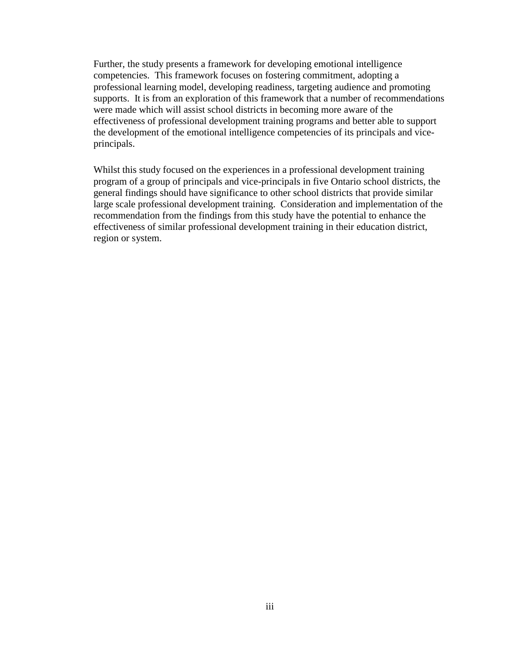Further, the study presents a framework for developing emotional intelligence competencies. This framework focuses on fostering commitment, adopting a professional learning model, developing readiness, targeting audience and promoting supports. It is from an exploration of this framework that a number of recommendations were made which will assist school districts in becoming more aware of the effectiveness of professional development training programs and better able to support the development of the emotional intelligence competencies of its principals and viceprincipals.

Whilst this study focused on the experiences in a professional development training program of a group of principals and vice-principals in five Ontario school districts, the general findings should have significance to other school districts that provide similar large scale professional development training. Consideration and implementation of the recommendation from the findings from this study have the potential to enhance the effectiveness of similar professional development training in their education district, region or system.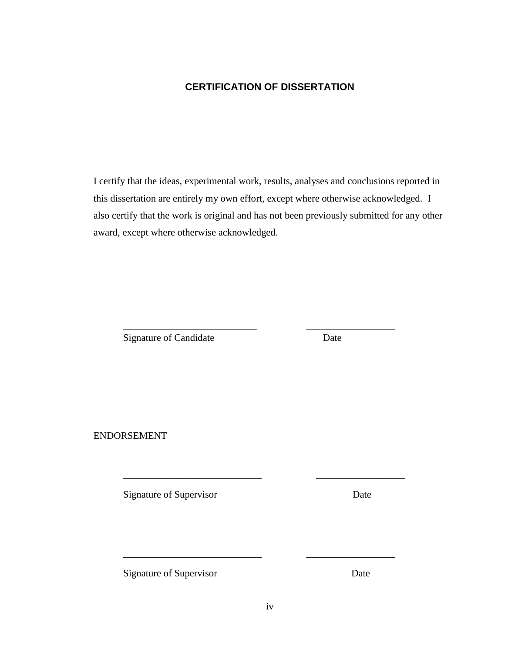#### **CERTIFICATION OF DISSERTATION**

<span id="page-3-0"></span>I certify that the ideas, experimental work, results, analyses and conclusions reported in this dissertation are entirely my own effort, except where otherwise acknowledged. I also certify that the work is original and has not been previously submitted for any other award, except where otherwise acknowledged.

\_\_\_\_\_\_\_\_\_\_\_\_\_\_\_\_\_\_\_\_\_\_\_\_\_\_\_ \_\_\_\_\_\_\_\_\_\_\_\_\_\_\_\_\_\_

\_\_\_\_\_\_\_\_\_\_\_\_\_\_\_\_\_\_\_\_\_\_\_\_\_\_\_\_ \_\_\_\_\_\_\_\_\_\_\_\_\_\_\_\_\_\_

 $\overline{\phantom{a}}$  , and the contract of the contract of the contract of the contract of the contract of the contract of the contract of the contract of the contract of the contract of the contract of the contract of the contrac

Signature of Candidate Date

ENDORSEMENT

Signature of Supervisor Date

Signature of Supervisor Date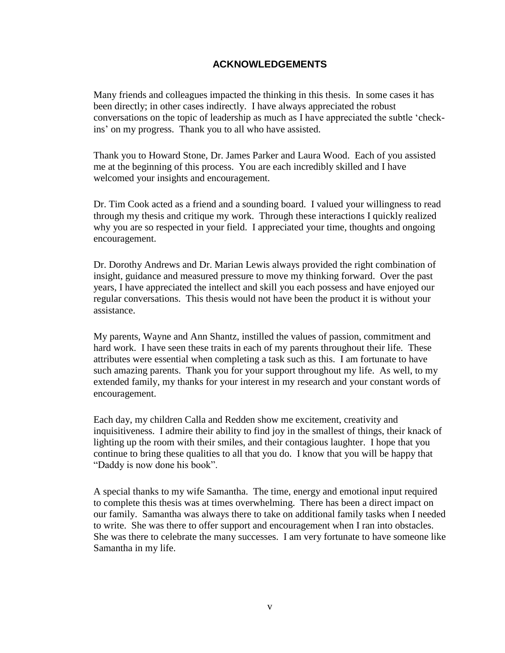#### **ACKNOWLEDGEMENTS**

<span id="page-4-0"></span>Many friends and colleagues impacted the thinking in this thesis. In some cases it has been directly; in other cases indirectly. I have always appreciated the robust conversations on the topic of leadership as much as I have appreciated the subtle 'checkins' on my progress. Thank you to all who have assisted.

Thank you to Howard Stone, Dr. James Parker and Laura Wood. Each of you assisted me at the beginning of this process. You are each incredibly skilled and I have welcomed your insights and encouragement.

Dr. Tim Cook acted as a friend and a sounding board. I valued your willingness to read through my thesis and critique my work. Through these interactions I quickly realized why you are so respected in your field. I appreciated your time, thoughts and ongoing encouragement.

Dr. Dorothy Andrews and Dr. Marian Lewis always provided the right combination of insight, guidance and measured pressure to move my thinking forward. Over the past years, I have appreciated the intellect and skill you each possess and have enjoyed our regular conversations. This thesis would not have been the product it is without your assistance.

My parents, Wayne and Ann Shantz, instilled the values of passion, commitment and hard work. I have seen these traits in each of my parents throughout their life. These attributes were essential when completing a task such as this. I am fortunate to have such amazing parents. Thank you for your support throughout my life. As well, to my extended family, my thanks for your interest in my research and your constant words of encouragement.

Each day, my children Calla and Redden show me excitement, creativity and inquisitiveness. I admire their ability to find joy in the smallest of things, their knack of lighting up the room with their smiles, and their contagious laughter. I hope that you continue to bring these qualities to all that you do. I know that you will be happy that "Daddy is now done his book".

A special thanks to my wife Samantha. The time, energy and emotional input required to complete this thesis was at times overwhelming. There has been a direct impact on our family. Samantha was always there to take on additional family tasks when I needed to write. She was there to offer support and encouragement when I ran into obstacles. She was there to celebrate the many successes. I am very fortunate to have someone like Samantha in my life.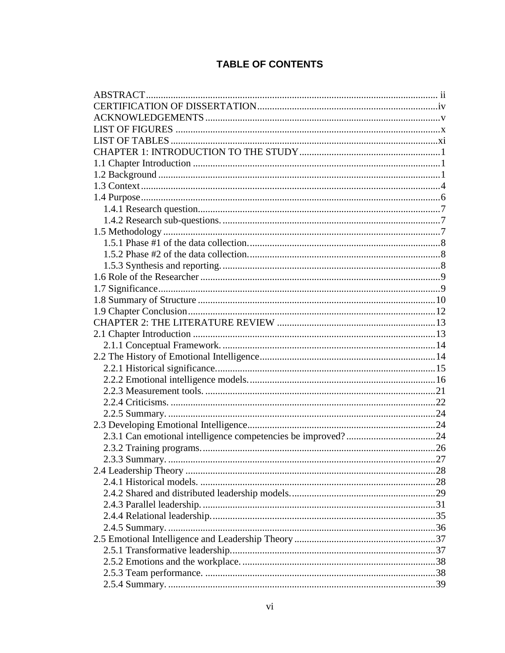### **TABLE OF CONTENTS**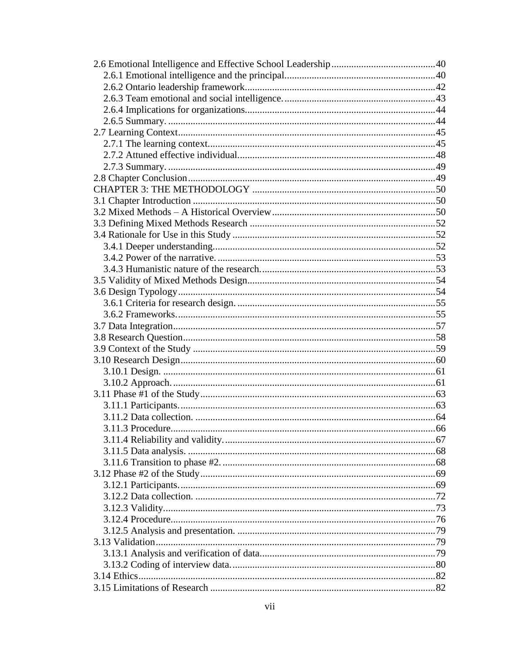| 3.11.3 Procedure |  |
|------------------|--|
|                  |  |
|                  |  |
|                  |  |
|                  |  |
|                  |  |
|                  |  |
|                  |  |
|                  |  |
|                  |  |
|                  |  |
|                  |  |
|                  |  |
|                  |  |
|                  |  |
|                  |  |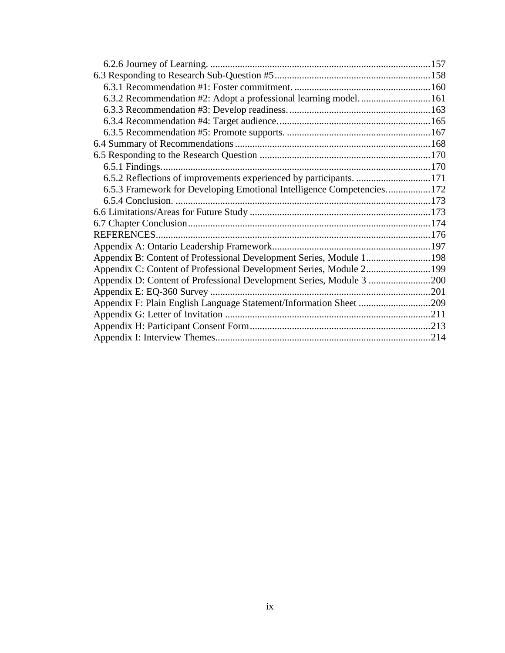| 6.3.2 Recommendation #2: Adopt a professional learning model 161      |  |
|-----------------------------------------------------------------------|--|
|                                                                       |  |
|                                                                       |  |
|                                                                       |  |
|                                                                       |  |
|                                                                       |  |
|                                                                       |  |
|                                                                       |  |
| 6.5.3 Framework for Developing Emotional Intelligence Competencies172 |  |
|                                                                       |  |
|                                                                       |  |
|                                                                       |  |
|                                                                       |  |
|                                                                       |  |
| Appendix B: Content of Professional Development Series, Module 1198   |  |
| Appendix C: Content of Professional Development Series, Module 2199   |  |
| Appendix D: Content of Professional Development Series, Module 3 200  |  |
|                                                                       |  |
|                                                                       |  |
|                                                                       |  |
|                                                                       |  |
|                                                                       |  |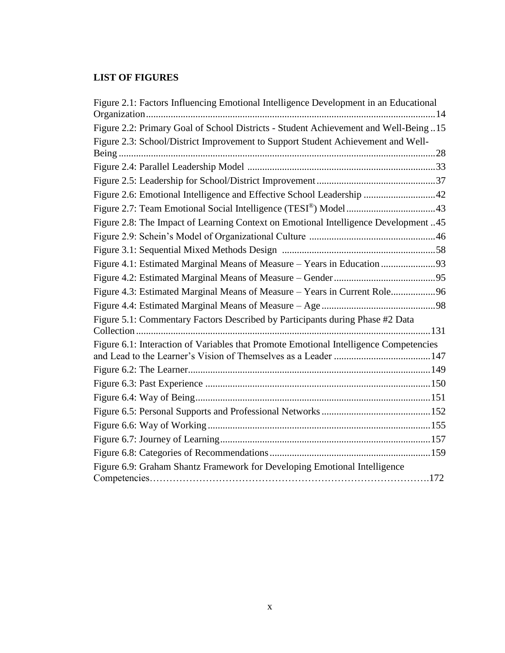#### <span id="page-9-0"></span>**LIST OF FIGURES**

| Figure 2.1: Factors Influencing Emotional Intelligence Development in an Educational  |  |
|---------------------------------------------------------------------------------------|--|
| Figure 2.2: Primary Goal of School Districts - Student Achievement and Well-Being15   |  |
| Figure 2.3: School/District Improvement to Support Student Achievement and Well-      |  |
|                                                                                       |  |
|                                                                                       |  |
|                                                                                       |  |
| Figure 2.6: Emotional Intelligence and Effective School Leadership 42                 |  |
|                                                                                       |  |
| Figure 2.8: The Impact of Learning Context on Emotional Intelligence Development 45   |  |
|                                                                                       |  |
|                                                                                       |  |
|                                                                                       |  |
|                                                                                       |  |
| Figure 4.3: Estimated Marginal Means of Measure - Years in Current Role96             |  |
|                                                                                       |  |
| Figure 5.1: Commentary Factors Described by Participants during Phase #2 Data         |  |
|                                                                                       |  |
| Figure 6.1: Interaction of Variables that Promote Emotional Intelligence Competencies |  |
|                                                                                       |  |
|                                                                                       |  |
|                                                                                       |  |
|                                                                                       |  |
|                                                                                       |  |
|                                                                                       |  |
|                                                                                       |  |
|                                                                                       |  |
| Figure 6.9: Graham Shantz Framework for Developing Emotional Intelligence             |  |
|                                                                                       |  |